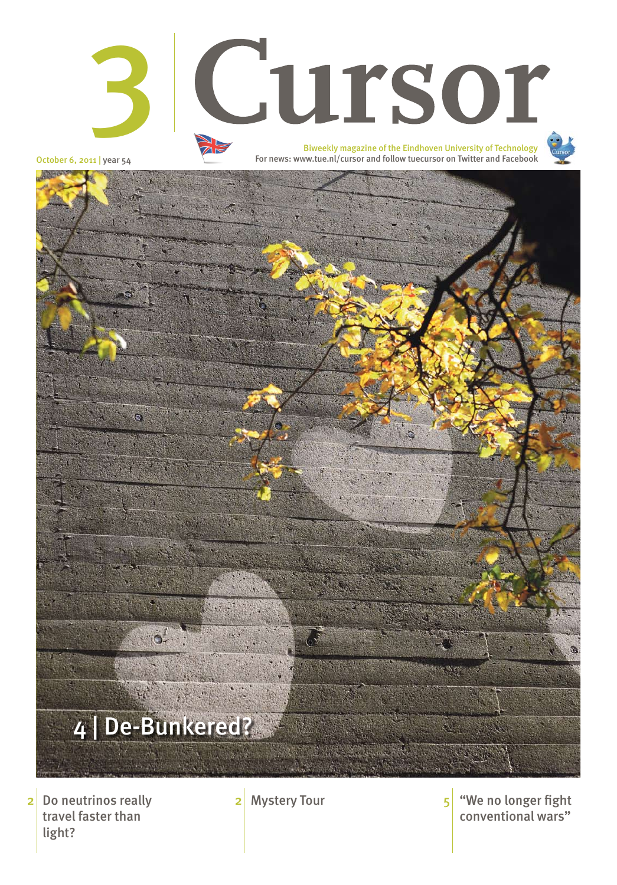Do neutrinos really travel faster than light? 2 Do neutrinos really  $2$  Mystery Tour  $3$  We no longer fight

October 6, 2011 | year 54

conventional wars" 5



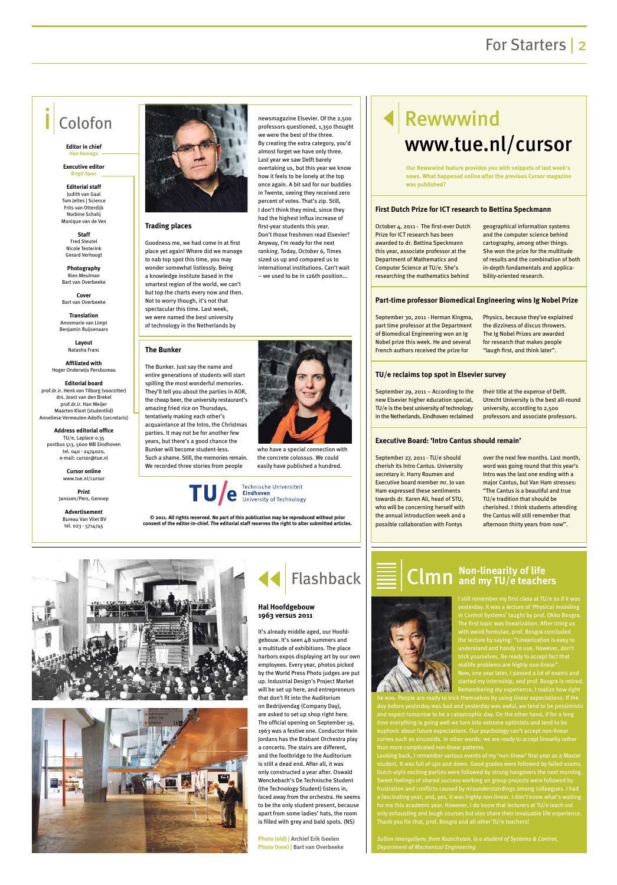## For Starters | 2

#### **Trading places**

Goodness me, we had come in at first place yet again! Where did we manage to nab top spot this time, you may wonder somewhat listlessly. Being a knowledge institute based in the smartest region of the world, we can't but top the charts every now and then. Not to worry though, it's not that spectacular this time. Last week, we were named the best university of technology in the Netherlands by

newsmagazine Elsevier. Of the 2,500 professors questioned, 1,350 thought we were the best of the three. By creating the extra category, you'd almost forget we have only three. Last year we saw Delft barely overtaking us, but this year we know how it feels to be lonely at the top once again. A bit sad for our buddies in Twente, seeing they received zero percent of votes. That's zip. Still, I don't think they mind, since they had the highest influx increase of first-year students this year. Don't those freshmen read Elsevier? Anyway, I'm ready for the next ranking. Today, October 6, Times sized us up and compared us to international institutions. Can't wait – we used to be in 126th position…

![](_page_1_Picture_45.jpeg)

![](_page_1_Picture_46.jpeg)

# Rewwwind www.tue.nl/cursor

## Colofon

#### **Editor in chief Han Konings**

#### **Executive editor Brigit Span**

**Editorial staff** Judith van Gaal Tom Jeltes | Science Frits van Otterdijk Norbine Schalij Monique van de Ven

**Staff**  Fred Steutel Nicole Testerink Gerard Verhoogt

**Photography**  Rien Meulman Bart van Overbeeke

**Cover** Bart van Overbeeke

**Translation** Annemarie van Limpt Benjamin Ruijsenaars

> **Layout** Natasha Franc

**Affiliated with**  Hoger Onderwijs Persbureau

#### **Editorial board** prof.dr.ir. Henk van Tilborg (voorzitter) drs. Joost van den Brekel prof.dr.ir. Han Meijer Maarten Klont (studentlid) Anneliese Vermeulen-Adolfs (secretaris)

**Address editorial office** TU/e, Laplace 0.35 postbus 513, 5600 MB Eindhoven tel. 040 - 2474020, e-mail: cursor@tue.nl

> **Cursor online** www.tue.nl/cursor

**Print** Janssen/Pers, Gennep

**Advertisement** Bureau Van Vliet BV tel. 023 - 5714745

![](_page_1_Picture_16.jpeg)

**© 2011. All rights reserved. No part of this publication may be reproduced without prior consent of the editor-in-chief. The editorial staff reserves the right to alter submitted articles.**

![](_page_1_Picture_23.jpeg)

October 4, 2011 - The first-ever Dutch Prize for ICT research has been awarded to dr. Bettina Speckmann this year, associate professor at the Department of Mathematics and Computer Science at TU/e. She's researching the mathematics behind

geographical information systems and the computer science behind cartography, among other things. She won the prize for the multitude of results and the combination of both in-depth fundamentals and applicability-oriented research.

September 30, 2011 - Herman Kingma, part time professor at the Department of Biomedical Engineering won an Ig Nobel prize this week. He and several French authors received the prize for

Physics, because they've explained the dizziness of discus throwers. The Ig Nobel Prizes are awarded for research that makes people "laugh first, and think later".

September 29, 2011 – According to the new Elsevier higher education special, TU/e is the best university of technology in the Netherlands. Eindhoven reclaimed

their title at the expense of Delft. Utrecht University is the best all-round university, according to 2,500 professors and associate professors.

#### **First Dutch Prize for ICT research to Bettina Speckmann**

#### **Part-time professor Biomedical Engineering wins Ig Nobel Prize**

#### **TU/e reclaims top spot in Elsevier survey**

#### **Executive Board: 'Intro Cantus should remain'**

**Our Rewwwind feature provides you with snippets of last week's news. What happened online after the previous Cursor magazine was published?**

#### **The Bunker**

The Bunker. Just say the name and entire generations of students will start spilling the most wonderful memories. They'll tell you about the parties in AOR, the cheap beer, the university restaurant's amazing fried rice on Thursdays, tentatively making each other's acquaintance at the Intro, the Christmas parties. It may not be for another few years, but there's a good chance the Bunker will become student-less. Such a shame. Still, the memories remain. We recorded three stories from people

![](_page_1_Picture_21.jpeg)

![](_page_1_Picture_44.jpeg)

the concrete colossus. We could easily have published a hundred.

> I still remember my first class at TU/e as if it was yesterday. It was a lecture of 'Physical modeling in Control Systems' taught by prof. Okko Bosgra. reallife problems are highly non-linear".

Looking back, I remember various events of my 'non-linear' first year as a Master student. It was full of ups and down. Good grades were followed by failed exams. frustration and conflicts caused by misunderstandings among colleagues. I had a fascinating year, and, yes, it was highly non-linear. I don't know what's waiting only exhausting and tough courses but also share their invaluable life experience.

*Sultan Imangaliyev, from Kazachstan, is a student of Systems & Control, Department of Mechanical Engineering*

# **Non-linearity of life** Clmn **and my TU/e teachers**

It's already middle aged, our Hoofdgebouw. It's seen 48 summers and a multitude of exhibitions. The place harbors expos displaying art by our own employees. Every year, photos picked by the World Press Photo judges are put up. Industrial Design's Project Market will be set up here, and entrepreneurs that don't fit into the Auditorium on Bedrijvendag (Company Day), are asked to set up shop right here. The official opening on September 19, 1963 was a festive one. Conductor Hein Jordans has the Brabant Orchestra play a concerto. The stairs are different, and the footbridge to the Auditorium is still a dead end. After all, it was only constructed a year after. Oswald Wenckebach's De Technische Student (the Technology Student) listens in, faced away from the orchestra. He seems to be the only student present, because apart from some ladies' hats, the room is filled with grey and bald spots. (NS)

**Photo (old) | Archief Erik Geelen Photo (new) | Bart van Overbeeke**

![](_page_1_Picture_48.jpeg)

. People are ready to trick themselves by using linear expectations. If the

#### **Hal Hoofdgebouw 1963 versus 2011**

![](_page_1_Picture_24.jpeg)

September 27, 2011 - TU/e should cherish its Intro Cantus. University secretary ir. Harry Roumen and Executive board member mr. Jo van Ham expressed these sentiments towards dr. Karen Ali, head of STU, who will be concerning herself with the annual introduction week and a possible collaboration with Fontys

over the next few months. Last month, word was going round that this year's Intro was the last one ending with a major Cantus, but Van Ham stresses: "The Cantus is a beautiful and true TU/e tradition that should be cherished. I think students attending the Cantus will still remember that afternoon thirty years from now".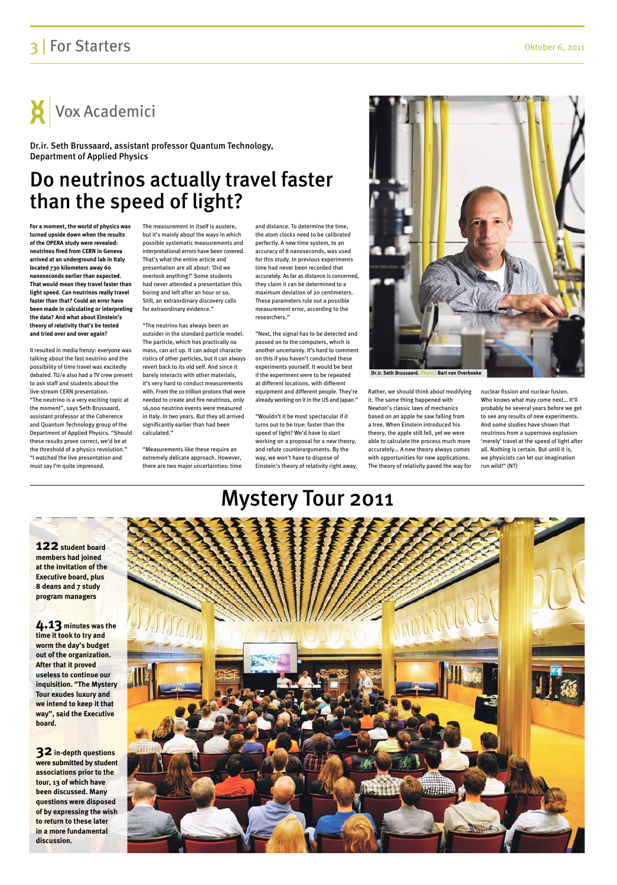## 3 For Starters **Oktober 6, 2011**

## Do neutrinos actually travel faster than the speed of light?

**For a moment, the world of physics was turned upside down when the results of the OPERA study were revealed: neutrinos fired from CERN in Geneva arrived at an underground lab in Italy located 730 kilometers away 60 nanoseconds earlier than expected. That would mean they travel faster than light speed. Can neutrinos really travel faster than that? Could an error have been made in calculating or interpreting the data? And what about Einstein's theory of relativity that's be tested and tried over and over again?** 

It resulted in media frenzy: everyone was talking about the fast neutrino and the possibility of time travel was excitedly debated. TU/e also had a TV crew present to ask staff and students about the live-stream CERN presentation. "The neutrino is a very exciting topic at the moment", says Seth Brussaard, assistant professor at the Coherence and Quantum Technology group of the Department of Applied Physics. "Should these results prove correct, we'd be at the threshold of a physics revolution." "I watched the live presentation and must say I'm quite impressed.

The measurement in itself is austere, but it's mainly about the ways in which possible systematic measurements and interpretational errors have been covered. That's what the entire article and presentation are all about: 'Did we overlook anything?' Some students had never attended a presentation this boring and left after an hour or so. Still, an extraordinary discovery calls for extraordinary evidence."

"The neutrino has always been an outsider in the standard particle model. The particle, which has practically no mass, can act up. It can adopt characteristics of other particles, but it can always revert back to its old self. And since it barely interacts with other materials, it's very hard to conduct measurements with. From the 10 trillion protons that were needed to create and fire neutrinos, only 16,000 neutrino events were measured in Italy. In two years. But they all arrived significantly earlier than had been calculated."

"Measurements like these require an extremely delicate approach. However, there are two major uncertainties: time and distance. To determine the time, the atom clocks need to be calibrated perfectly. A new time system, to an accuracy of 8 nanoseconds, was used for this study. In previous experiments time had never been recorded that accurately. As far as distance is concerned, they claim it can be determined to a maximum deviation of 20 centimeters. These parameters rule out a possible measurement error, according to the researchers."

"Next, the signal has to be detected and passed on to the computers, which is another uncertainty. It's hard to comment on this if you haven't conducted these experiments yourself. It would be best if the experiment were to be repeated at different locations, with different equipment and different people. They're already working on it in the US and Japan."

"Wouldn't it be most spectacular if it turns out to be true: faster than the speed of light? We'd have to start working on a proposal for a new theory, and refute counterarguments. By the way, we won't have to dispose of Einstein's theory of relativity right away.

Rather, we should think about modifying it. The same thing happened with Newton's classic laws of mechanics based on an apple he saw falling from a tree. When Einstein introduced his theory, the apple still fell, yet we were able to calculate the process much more accurately… A new theory always comes with opportunities for new applications. The theory of relativity paved the way for

nuclear fission and nuclear fusion. Who knows what may come next… It'll probably be several years before we get to see any results of new experiments. And some studies have shown that neutrinos from a supernova explosion 'merely' travel at the speed of light after all. Nothing is certain. But until it is, we physicists can let our imagination run wild!" (NT)

Vox Academici

Dr.ir. Seth Brussaard, assistant professor Quantum Technology, Department of Applied Physics

![](_page_2_Picture_13.jpeg)

![](_page_2_Picture_19.jpeg)

**122 student board members had joined at the invitation of the Executive board, plus 8 deans and 7 study program managers**

**4.13 minutes was the time it took to try and worm the day's budget out of the organization. After that it proved useless to continue of inquisition. "The Mystery Tour exudes luxury and we intend to keep it that way", said the Executive board.**

**32 in-depth questions were submitted by student associations prior to the tour, 13 of which have been discussed. Many questions were disposed of by expressing the wish to return to these later in a more fundamental discussion.**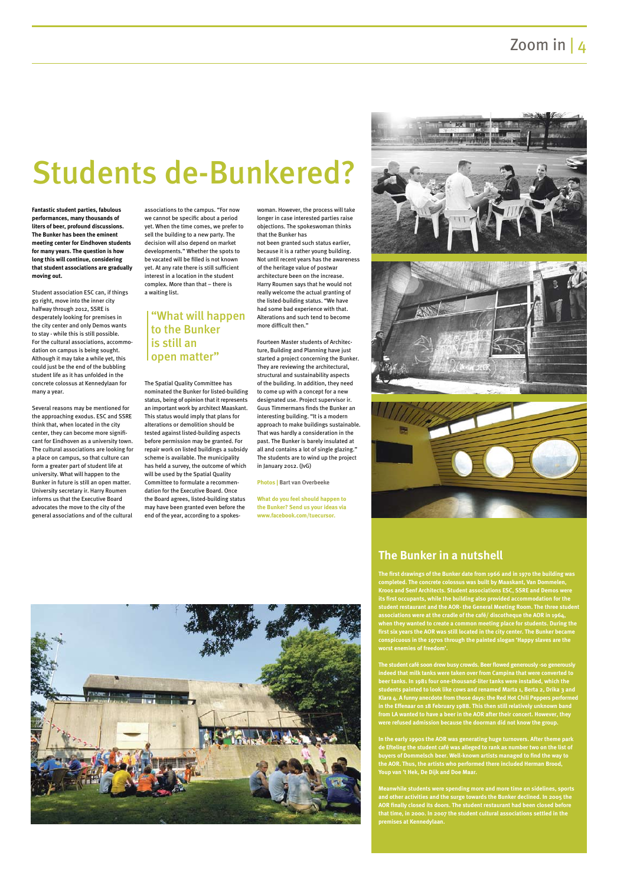# Students de-Bunkered?

**Fantastic student parties, fabulous performances, many thousands of liters of beer, profound discussions. The Bunker has been the eminent meeting center for Eindhoven students for many years. The question is how long this will continue, considering that student associations are gradually moving out.** 

Student association ESC can, if things go right, move into the inner city halfway through 2012, SSRE is desperately looking for premises in the city center and only Demos wants to stay - while this is still possible. For the cultural associations, accommodation on campus is being sought. Although it may take a while yet, this could just be the end of the bubbling student life as it has unfolded in the concrete colossus at Kennedylaan for many a year.

Several reasons may be mentioned for the approaching exodus. ESC and SSRE think that, when located in the city center, they can become more significant for Eindhoven as a university town. The cultural associations are looking for a place on campus, so that culture can form a greater part of student life at university. What will happen to the Bunker in future is still an open matter. University secretary ir. Harry Roumen informs us that the Executive Board advocates the move to the city of the general associations and of the cultural

associations to the campus. "For now we cannot be specific about a period yet. When the time comes, we prefer to sell the building to a new party. The decision will also depend on market developments." Whether the spots to be vacated will be filled is not known yet. At any rate there is still sufficient interest in a location in the student complex. More than that – there is a waiting list.

The Spatial Quality Committee has nominated the Bunker for listed-building status, being of opinion that it represents an important work by architect Maaskant. This status would imply that plans for alterations or demolition should be tested against listed-building aspects before permission may be granted. For repair work on listed buildings a subsidy scheme is available. The municipality has held a survey, the outcome of which will be used by the Spatial Quality Committee to formulate a recommendation for the Executive Board. Once the Board agrees, listed-building status may have been granted even before the end of the year, according to a spokes-

> **The student café soon drew busy crowds. Beer flowed generously -so generously**  k<mark>s were taken over from Campina that</mark> w

![](_page_3_Picture_16.jpeg)

woman. However, the process will take longer in case interested parties raise objections. The spokeswoman thinks that the Bunker has not been granted such status earlier, because it is a rather young building. Not until recent years has the awareness of the heritage value of postwar architecture been on the increase. Harry Roumen says that he would not really welcome the actual granting of the listed-building status. "We have had some bad experience with that. Alterations and such tend to become more difficult then."

Fourteen Master students of Architecture, Building and Planning have just started a project concerning the Bunker. They are reviewing the architectural, structural and sustainability aspects of the building. In addition, they need to come up with a concept for a new designated use. Project supervisor ir. Guus Timmermans finds the Bunker an interesting building. "It is a modern approach to make buildings sustainable. That was hardly a consideration in the past. The Bunker is barely insulated at all and contains a lot of single glazing." The students are to wind up the project in January 2012. (JvG)

**Photos | Bart van Overbeeke**

**What do you feel should happen to the Bunker? Send us your ideas via www.facebook.com/tuecursor.** 

![](_page_3_Picture_12.jpeg)

## **The Bunker in a nutshell**

**The first drawings of the Bunker date from 1966 and in 1970 the building was completed. The concrete colossus was built by Maaskant, Van Dommelen, Kroos and Senf Architects. Student associations ESC, SSRE and Demos were its first occupants, while the building also provided accommodation for the student restaurant and the AOR- the General Meeting Room. The three student associations were at the cradle of the café/ discotheque the AOR in 1964, when they wanted to create a common meeting place for students. During the first six years the AOR was still located in the city center. The Bunker became conspicuous in the 1970s through the painted slogan 'Happy slaves are the worst enemies of freedom'.** 

**beer tanks. In 1981 four one-thousand-liter tanks were installed, which the students painted to look like cows and renamed Marta 1, Berta 2, Drika 3 and Klara 4. A funny anecdote from those days: the Red Hot Chili Peppers performed in the Effenaar on 18 February 1988. This then still relatively unknown band from LA wanted to have a beer in the AOR after their concert. However, they were refused admission because the doorman did not know the group.**

**In the early 1990s the AOR was generating huge turnovers. After theme park de Efteling the student café was alleged to rank as number two on the list of buyers of Dommelsch beer. Well-known artists managed to find the way to the AOR. Thus, the artists who performed there included Herman Brood, Youp van 't Hek, De Dijk and Doe Maar.** 

**Meanwhile students were spending more and more time on sidelines, sports and other activities and the surge towards the Bunker declined. In 2005 the AOR finally closed its doors. The student restaurant had been closed before that time, in 2000. In 2007 the student cultural associations settled in the premises at Kennedylaan.** 

## "What will happen to the Bunker is still an open matter"